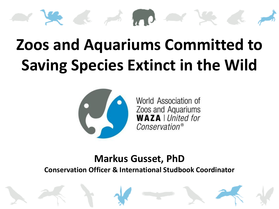# 

## **Zoos and Aquariums Committed to Saving Species Extinct in the Wild**



World Association of Zoos and Aquariums<br>**WAZA** | United for Conservation®

#### **Markus Gusset, PhD**

**Conservation Officer & International Studbook Coordinator**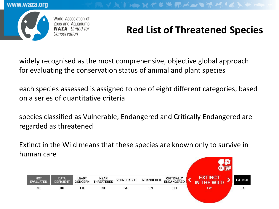World Association of Zoos and Aquariums **WAZA** | United for Conservation

### **Red List of Threatened Species**

XXXXXMAQXXXXXX

widely recognised as the most comprehensive, objective global approach for evaluating the conservation status of animal and plant species

each species assessed is assigned to one of eight different categories, based on a series of quantitative criteria

species classified as Vulnerable, Endangered and Critically Endangered are regarded as threatened

Extinct in the Wild means that these species are known only to survive in human care

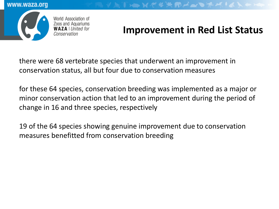

#### **Improvement in Red List Status**

TENT \* \* RAND # \* 14 X \*

there were 68 vertebrate species that underwent an improvement in conservation status, all but four due to conservation measures

for these 64 species, conservation breeding was implemented as a major or minor conservation action that led to an improvement during the period of change in 16 and three species, respectively

19 of the 64 species showing genuine improvement due to conservation measures benefitted from conservation breeding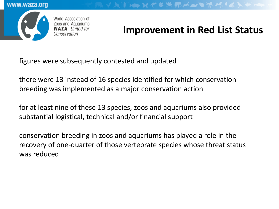

World Association of Zoos and Aquariums

#### **Improvement in Red List Status**

TENTIXTHAN

figures were subsequently contested and updated

there were 13 instead of 16 species identified for which conservation breeding was implemented as a major conservation action

for at least nine of these 13 species, zoos and aquariums also provided substantial logistical, technical and/or financial support

conservation breeding in zoos and aquariums has played a role in the recovery of one-quarter of those vertebrate species whose threat status was reduced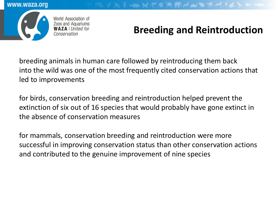

World Association of Zoos and Aquariums

#### **Breeding and Reintroduction**

breeding animals in human care followed by reintroducing them back into the wild was one of the most frequently cited conservation actions that led to improvements

for birds, conservation breeding and reintroduction helped prevent the extinction of six out of 16 species that would probably have gone extinct in the absence of conservation measures

for mammals, conservation breeding and reintroduction were more successful in improving conservation status than other conservation actions and contributed to the genuine improvement of nine species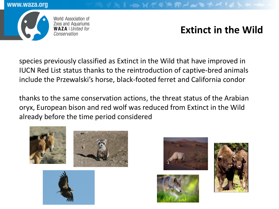

World Association of Zoos and Aquariums<br>**WAZA** | *United for* Conservation

#### **Extinct in the Wild**

species previously classified as Extinct in the Wild that have improved in IUCN Red List status thanks to the reintroduction of captive-bred animals include the Przewalski's horse, black-footed ferret and California condor

thanks to the same conservation actions, the threat status of the Arabian oryx, European bison and red wolf was reduced from Extinct in the Wild already before the time period considered





VATXXXXXXMANDAXXXXXXX



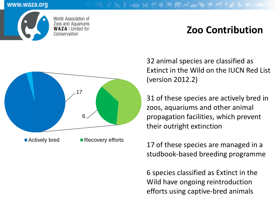

World Association of Zoos and Aquariums **WAZA** | United for Conservation

#### **Zoo Contribution**



32 animal species are classified as Extinct in the Wild on the IUCN Red List (version 2012.2)

31 of these species are actively bred in zoos, aquariums and other animal propagation facilities, which prevent their outright extinction

17 of these species are managed in a studbook-based breeding programme

6 species classified as Extinct in the Wild have ongoing reintroduction efforts using captive-bred animals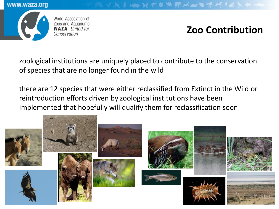



World Association of Zoos and Aquariums<br>**WAZA** | *United for* Conservation

#### **Zoo Contribution**

VATENNURXMANDRAILLE

zoological institutions are uniquely placed to contribute to the conservation of species that are no longer found in the wild

there are 12 species that were either reclassified from Extinct in the Wild or reintroduction efforts driven by zoological institutions have been implemented that hopefully will qualify them for reclassification soon

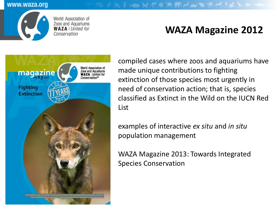

World Association of Zoos and Aquariums<br>**WAZA** | United for Conservation

#### **WAZA Magazine 2012**



compiled cases where zoos and aquariums have made unique contributions to fighting extinction of those species most urgently in need of conservation action; that is, species classified as Extinct in the Wild on the IUCN Red List

examples of interactive *ex situ* and *in situ*  population management

V DTID X C # X D A Q D A K + & X \* X

WAZA Magazine 2013: Towards Integrated Species Conservation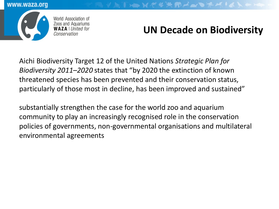

World Association of Zoos and Aquariums<br>**WAZA** | United for

#### **UN Decade on Biodiversity**

**ATEN YE FRANCIALLY** 

Aichi Biodiversity Target 12 of the United Nations *Strategic Plan for Biodiversity 2011–2020* states that "by 2020 the extinction of known threatened species has been prevented and their conservation status, particularly of those most in decline, has been improved and sustained"

substantially strengthen the case for the world zoo and aquarium community to play an increasingly recognised role in the conservation policies of governments, non-governmental organisations and multilateral environmental agreements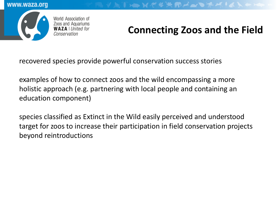

#### World Association of Zoos and Aquariums<br>**WAZA** | *United for*

#### **Connecting Zoos and the Field**

TEXPYXMANDAKIAL

recovered species provide powerful conservation success stories

examples of how to connect zoos and the wild encompassing a more holistic approach (e.g. partnering with local people and containing an education component)

species classified as Extinct in the Wild easily perceived and understood target for zoos to increase their participation in field conservation projects beyond reintroductions